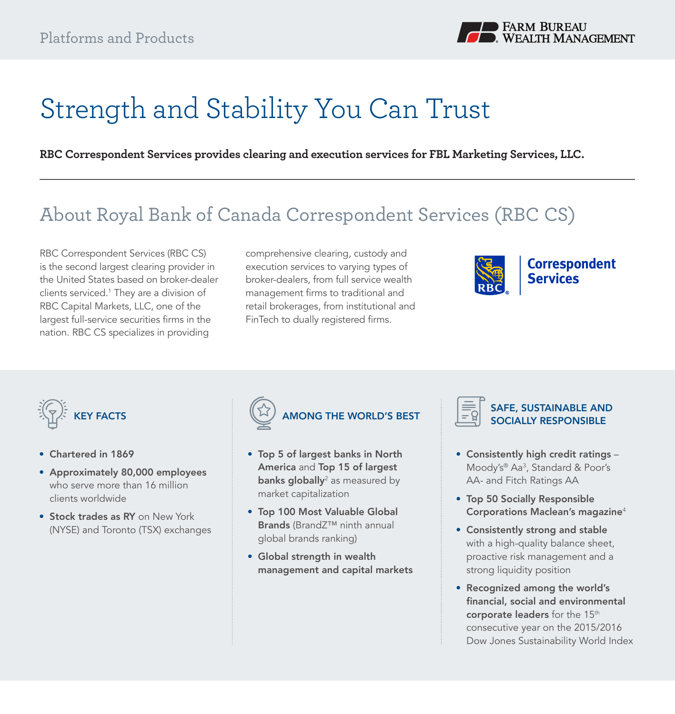

# Strength and Stability You Can Trust

**RBC Correspondent Services provides clearing and execution services for FBL Marketing Services, LLC.**

# About Royal Bank of Canada Correspondent Services (RBC CS)

RBC Correspondent Services (RBC CS) is the second largest clearing provider in the United States based on broker-dealer clients serviced.1 They are a division of RBC Capital Markets, LLC, one of the largest full-service securities firms in the nation. RBC CS specializes in providing

comprehensive clearing, custody and execution services to varying types of broker-dealers, from full service wealth management firms to traditional and retail brokerages, from institutional and FinTech to dually registered firms.





- Chartered in 1869
- Approximately 80,000 employees who serve more than 16 million clients worldwide
- Stock trades as RY on New York (NYSE) and Toronto (TSX) exchanges



- Top 5 of largest banks in North America and Top 15 of largest **banks globally**<sup>2</sup> as measured by market capitalization
- Top 100 Most Valuable Global Brands (BrandZ™ ninth annual global brands ranking)
- Global strength in wealth management and capital markets



#### SAFE, SUSTAINABLE AND SOCIALLY RESPONSIBLE

- Consistently high credit ratings Moody's® Aa3 , Standard & Poor's AA- and Fitch Ratings AA
- Top 50 Socially Responsible Corporations Maclean's magazine<sup>4</sup>
- Consistently strong and stable with a high-quality balance sheet, proactive risk management and a strong liquidity position
- Recognized among the world's financial, social and environmental corporate leaders for the 15<sup>th</sup> consecutive year on the 2015/2016 Dow Jones Sustainability World Index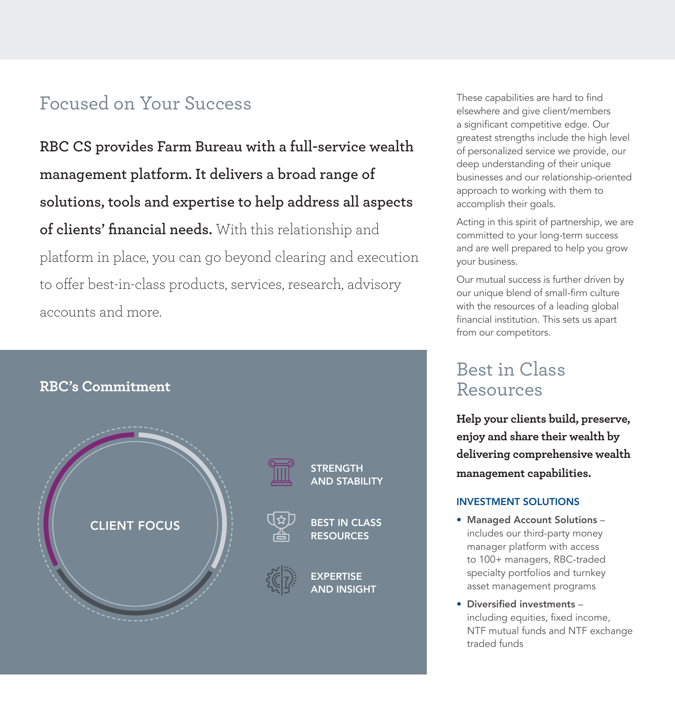## Focused on Your Success These capabilities are hard to find

**RBC CS provides Farm Bureau with a full-service wealth management platform. It delivers a broad range of solutions, tools and expertise to help address all aspects of clients' financial needs.** With this relationship and platform in place, you can go beyond clearing and execution to offer best-in-class products, services, research, advisory accounts and more.



elsewhere and give client/members a significant competitive edge. Our greatest strengths include the high level of personalized service we provide, our deep understanding of their unique businesses and our relationship-oriented approach to working with them to accomplish their goals.

Acting in this spirit of partnership, we are committed to your long-term success and are well prepared to help you grow your business.

Our mutual success is further driven by our unique blend of small-firm culture with the resources of a leading global financial institution. This sets us apart from our competitors.

### Best in Class Resources

**Help your clients build, preserve, enjoy and share their wealth by delivering comprehensive wealth management capabilities.**

#### INVESTMENT SOLUTIONS

- Managed Account Solutions includes our third-party money manager platform with access to 100+ managers, RBC-traded specialty portfolios and turnkey asset management programs
- Diversified investments including equities, fixed income, NTF mutual funds and NTF exchange traded funds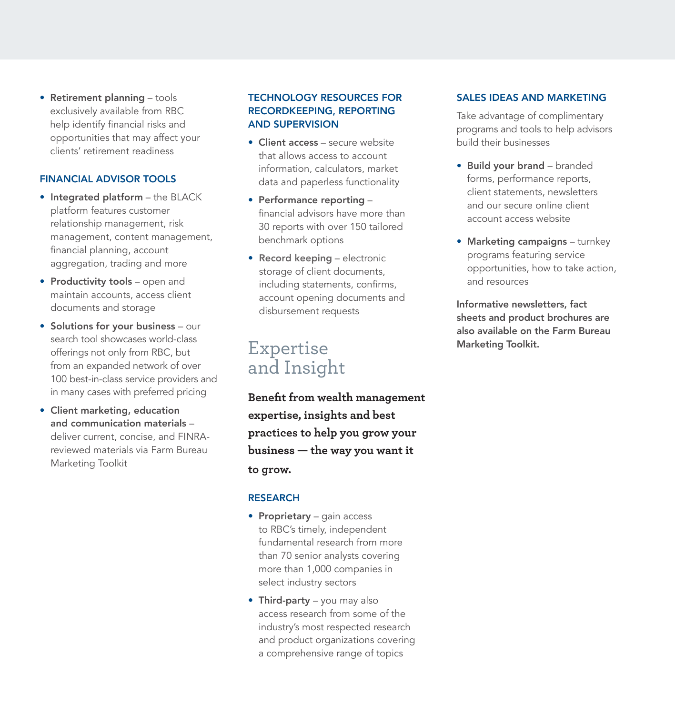• Retirement planning - tools exclusively available from RBC help identify financial risks and opportunities that may affect your clients' retirement readiness

#### FINANCIAL ADVISOR TOOLS

- Integrated platform the BLACK platform features customer relationship management, risk management, content management, financial planning, account aggregation, trading and more
- Productivity tools open and maintain accounts, access client documents and storage
- Solutions for your business our search tool showcases world-class offerings not only from RBC, but from an expanded network of over 100 best-in-class service providers and in many cases with preferred pricing
- Client marketing, education and communication materials – deliver current, concise, and FINRAreviewed materials via Farm Bureau Marketing Toolkit

#### TECHNOLOGY RESOURCES FOR RECORDKEEPING, REPORTING AND SUPERVISION

- Client access secure website that allows access to account information, calculators, market data and paperless functionality
- Performance reporting financial advisors have more than 30 reports with over 150 tailored benchmark options
- Record keeping electronic storage of client documents, including statements, confirms, account opening documents and disbursement requests

### Expertise and Insight

**Benefit from wealth management expertise, insights and best practices to help you grow your business — the way you want it to grow.**

#### RESEARCH

- Proprietary gain access to RBC's timely, independent fundamental research from more than 70 senior analysts covering more than 1,000 companies in select industry sectors
- Third-party you may also access research from some of the industry's most respected research and product organizations covering a comprehensive range of topics

#### SALES IDEAS AND MARKETING

Take advantage of complimentary programs and tools to help advisors build their businesses

- Build your brand branded forms, performance reports, client statements, newsletters and our secure online client account access website
- Marketing campaigns turnkey programs featuring service opportunities, how to take action, and resources

Informative newsletters, fact sheets and product brochures are also available on the Farm Bureau Marketing Toolkit.